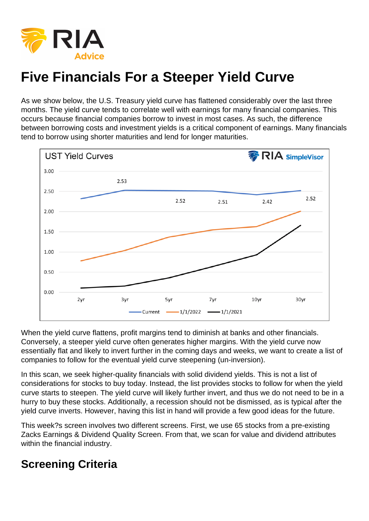As we show below, the U.S. Treasury yield curve has flattened considerably over the last three months. The yield curve tends to correlate well with earnings for many financial companies. This occurs because financial companies borrow to invest in most cases. As such, the difference between borrowing costs and investment yields is a critical component of earnings. Many financials tend to borrow using shorter maturities and lend for longer maturities.

When the yield curve flattens, profit margins tend to diminish at banks and other financials. Conversely, a steeper yield curve often generates higher margins. With the yield curve now essentially flat and likely to invert further in the coming days and weeks, we want to create a list of companies to follow for the eventual yield curve steepening (un-inversion).

In this scan, we seek higher-quality financials with solid dividend yields. This is not a list of considerations for stocks to buy today. Instead, the list provides stocks to follow for when the yield curve starts to steepen. The yield curve will likely further invert, and thus we do not need to be in a hurry to buy these stocks. Additionally, a recession should not be dismissed, as is typical after the yield curve inverts. However, having this list in hand will provide a few good ideas for the future.

This week?s screen involves two different screens. First, we use 65 stocks from a pre-existing Zacks Earnings & Dividend Quality Screen. From that, we scan for value and dividend attributes within the financial industry.

## Screening Criteria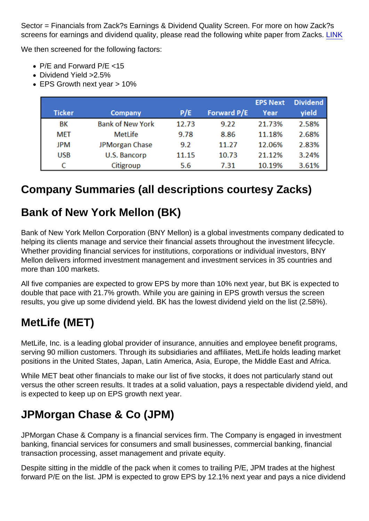Sector = Financials from Zack?s Earnings & Dividend Quality Screen. For more on how Zack?s screens for earnings and dividend quality, please read the following white paper from Zacks. [LINK](http://www.zackspro.com/zrs50/reportPDFs/Earnings_and_Dividend_Score.pdf)

We then screened for the following factors:

- P/E and Forward P/E <15
- Dividend Yield > 2.5%
- EPS Growth next year > 10%

## Company Summaries (all descriptions courtesy Zacks)

#### Bank of New York Mellon (BK)

Bank of New York Mellon Corporation (BNY Mellon) is a global investments company dedicated to helping its clients manage and service their financial assets throughout the investment lifecycle. Whether providing financial services for institutions, corporations or individual investors, BNY Mellon delivers informed investment management and investment services in 35 countries and more than 100 markets.

All five companies are expected to grow EPS by more than 10% next year, but BK is expected to double that pace with 21.7% growth. While you are gaining in EPS growth versus the screen results, you give up some dividend yield. BK has the lowest dividend yield on the list (2.58%).

### MetLife (MET)

MetLife, Inc. is a leading global provider of insurance, annuities and employee benefit programs, serving 90 million customers. Through its subsidiaries and affiliates, MetLife holds leading market positions in the United States, Japan, Latin America, Asia, Europe, the Middle East and Africa.

While MET beat other financials to make our list of five stocks, it does not particularly stand out versus the other screen results. It trades at a solid valuation, pays a respectable dividend yield, and is expected to keep up on EPS growth next year.

## JPMorgan Chase & Co (JPM)

JPMorgan Chase & Company is a financial services firm. The Company is engaged in investment banking, financial services for consumers and small businesses, commercial banking, financial transaction processing, asset management and private equity.

Despite sitting in the middle of the pack when it comes to trailing P/E, JPM trades at the highest forward P/E on the list. JPM is expected to grow EPS by 12.1% next year and pays a nice dividend